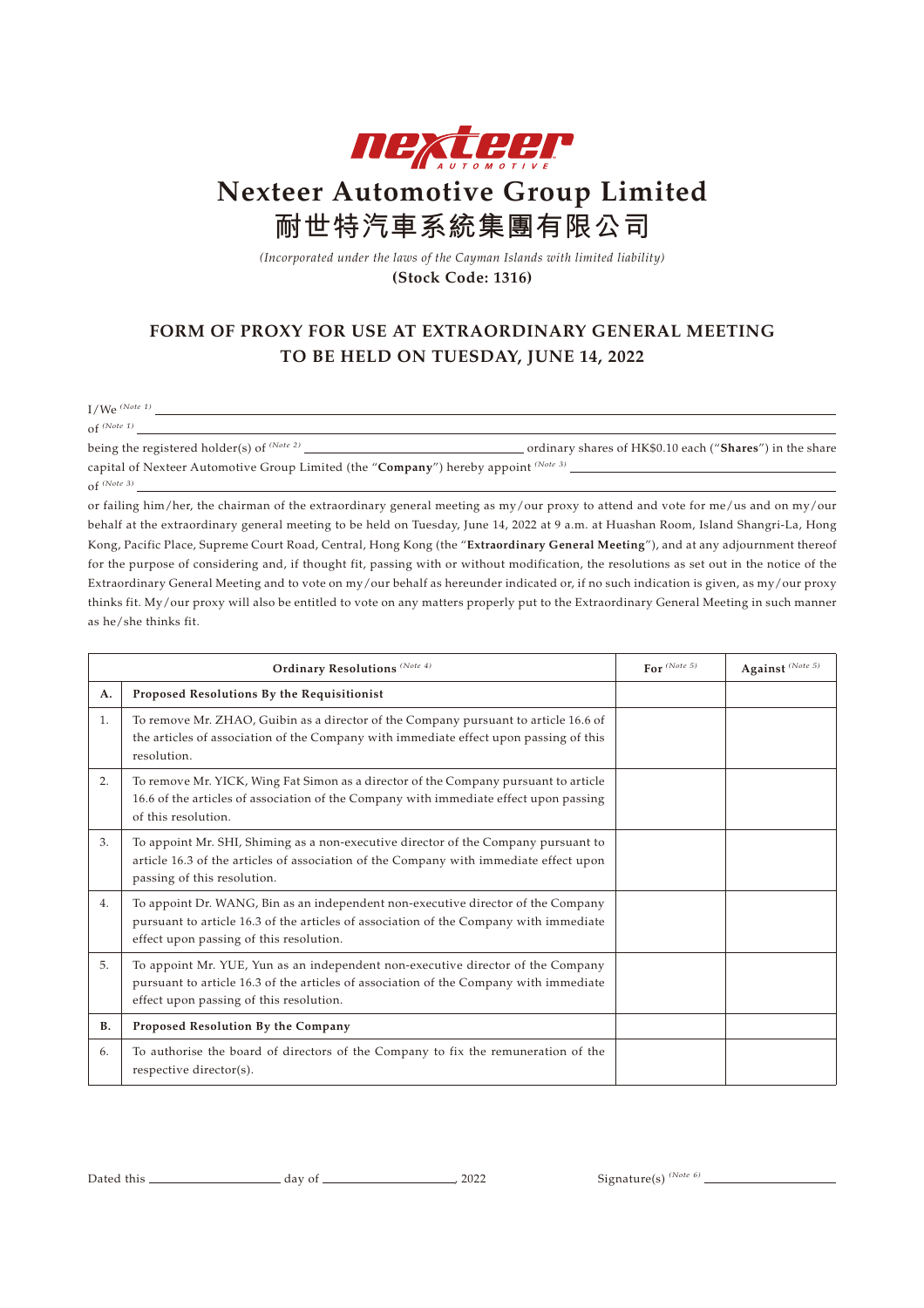

## **Nexteer Automotive Group Limited 耐世特汽車系統集團有限公司**

*(Incorporated under the laws of the Cayman Islands with limited liability)* **(Stock Code: 1316)**

## **FORM OF PROXY FOR USE AT EXTRAORDINARY GENERAL MEETING TO BE HELD ON TUESDAY, JUNE 14, 2022**

I/We *(Note 1)*

of *(Note 1)*

being the registered holder(s) of *(Note 2)* ordinary shares of HK\$0.10 each ("**Shares**") in the share capital of Nexteer Automotive Group Limited (the "**Company**") hereby appoint *(Note 3)* of *(Note 3)*

or failing him/her, the chairman of the extraordinary general meeting as my/our proxy to attend and vote for me/us and on my/our behalf at the extraordinary general meeting to be held on Tuesday, June 14, 2022 at 9 a.m. at Huashan Room, Island Shangri-La, Hong Kong, Pacific Place, Supreme Court Road, Central, Hong Kong (the "**Extraordinary General Meeting**"), and at any adjournment thereof for the purpose of considering and, if thought fit, passing with or without modification, the resolutions as set out in the notice of the Extraordinary General Meeting and to vote on my/our behalf as hereunder indicated or, if no such indication is given, as my/our proxy thinks fit. My/our proxy will also be entitled to vote on any matters properly put to the Extraordinary General Meeting in such manner as he/she thinks fit.

| Ordinary Resolutions (Note 4) |                                                                                                                                                                                                                      | For $^{(Note 5)}$ | Against $^{\left( Note\ 5\right) }$ |
|-------------------------------|----------------------------------------------------------------------------------------------------------------------------------------------------------------------------------------------------------------------|-------------------|-------------------------------------|
| A.                            | Proposed Resolutions By the Requisitionist                                                                                                                                                                           |                   |                                     |
| 1.                            | To remove Mr. ZHAO, Guibin as a director of the Company pursuant to article 16.6 of<br>the articles of association of the Company with immediate effect upon passing of this<br>resolution.                          |                   |                                     |
| 2.                            | To remove Mr. YICK, Wing Fat Simon as a director of the Company pursuant to article<br>16.6 of the articles of association of the Company with immediate effect upon passing<br>of this resolution.                  |                   |                                     |
| 3.                            | To appoint Mr. SHI, Shiming as a non-executive director of the Company pursuant to<br>article 16.3 of the articles of association of the Company with immediate effect upon<br>passing of this resolution.           |                   |                                     |
| 4.                            | To appoint Dr. WANG, Bin as an independent non-executive director of the Company<br>pursuant to article 16.3 of the articles of association of the Company with immediate<br>effect upon passing of this resolution. |                   |                                     |
| 5.                            | To appoint Mr. YUE, Yun as an independent non-executive director of the Company<br>pursuant to article 16.3 of the articles of association of the Company with immediate<br>effect upon passing of this resolution.  |                   |                                     |
| <b>B.</b>                     | Proposed Resolution By the Company                                                                                                                                                                                   |                   |                                     |
| 6.                            | To authorise the board of directors of the Company to fix the remuneration of the<br>respective director(s).                                                                                                         |                   |                                     |

Dated this day of , 2022 Signature(s) *(Note 6)*